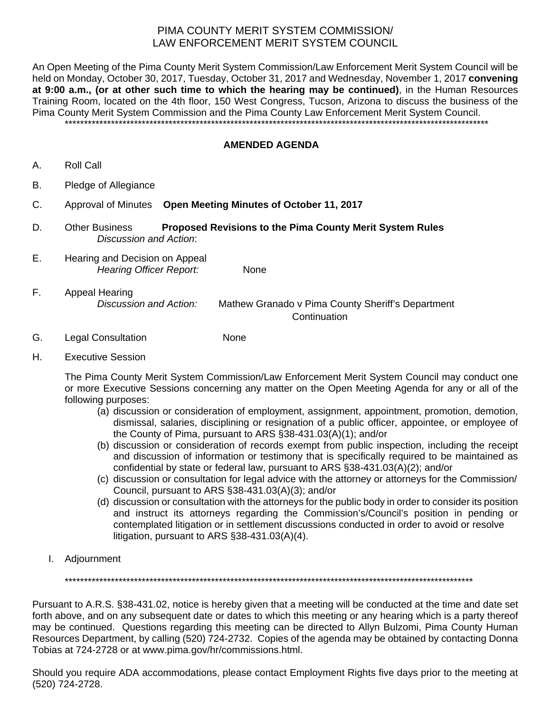## PIMA COUNTY MERIT SYSTEM COMMISSION/ LAW ENFORCEMENT MERIT SYSTEM COUNCIL

An Open Meeting of the Pima County Merit System Commission/Law Enforcement Merit System Council will be held on Monday, October 30, 2017, Tuesday, October 31, 2017 and Wednesday, November 1, 2017 **convening at 9:00 a.m., (or at other such time to which the hearing may be continued)**, in the Human Resources Training Room, located on the 4th floor, 150 West Congress, Tucson, Arizona to discuss the business of the Pima County Merit System Commission and the Pima County Law Enforcement Merit System Council.

\*\*\*\*\*\*\*\*\*\*\*\*\*\*\*\*\*\*\*\*\*\*\*\*\*\*\*\*\*\*\*\*\*\*\*\*\*\*\*\*\*\*\*\*\*\*\*\*\*\*\*\*\*\*\*\*\*\*\*\*\*\*\*\*\*\*\*\*\*\*\*\*\*\*\*\*\*\*\*\*\*\*\*\*\*\*\*\*\*\*\*\*\*\*\*\*\*\*\*\*\*\*\*\*\*\*\*\*\*\*

## **AMENDED AGENDA**

- A. Roll Call
- B. Pledge of Allegiance
- C. Approval of Minutes **Open Meeting Minutes of October 11, 2017**
- D. Other Business **Proposed Revisions to the Pima County Merit System Rules** *Discussion and Action*:
- E. Hearing and Decision on Appeal *Hearing Officer Report:* None
- F. Appeal Hearing *Discussion and Action:* Mathew Granado v Pima County Sheriff's Department Continuation
- G. Legal Consultation None
- H. Executive Session

The Pima County Merit System Commission/Law Enforcement Merit System Council may conduct one or more Executive Sessions concerning any matter on the Open Meeting Agenda for any or all of the following purposes:

- (a) discussion or consideration of employment, assignment, appointment, promotion, demotion, dismissal, salaries, disciplining or resignation of a public officer, appointee, or employee of the County of Pima, pursuant to ARS §38-431.03(A)(1); and/or
- (b) discussion or consideration of records exempt from public inspection, including the receipt and discussion of information or testimony that is specifically required to be maintained as confidential by state or federal law, pursuant to ARS §38-431.03(A)(2); and/or
- (c) discussion or consultation for legal advice with the attorney or attorneys for the Commission/ Council, pursuant to ARS §38-431.03(A)(3); and/or
- (d) discussion or consultation with the attorneys for the public body in order to consider its position and instruct its attorneys regarding the Commission's/Council's position in pending or contemplated litigation or in settlement discussions conducted in order to avoid or resolve litigation, pursuant to ARS §38-431.03(A)(4).
- I. Adjournment

\*\*\*\*\*\*\*\*\*\*\*\*\*\*\*\*\*\*\*\*\*\*\*\*\*\*\*\*\*\*\*\*\*\*\*\*\*\*\*\*\*\*\*\*\*\*\*\*\*\*\*\*\*\*\*\*\*\*\*\*\*\*\*\*\*\*\*\*\*\*\*\*\*\*\*\*\*\*\*\*\*\*\*\*\*\*\*\*\*\*\*\*\*\*\*\*\*\*\*\*\*\*\*\*\*\*

Pursuant to A.R.S. §38-431.02, notice is hereby given that a meeting will be conducted at the time and date set forth above, and on any subsequent date or dates to which this meeting or any hearing which is a party thereof may be continued. Questions regarding this meeting can be directed to Allyn Bulzomi, Pima County Human Resources Department, by calling (520) 724-2732. Copies of the agenda may be obtained by contacting Donna Tobias at 724-2728 or at www.pima.gov/hr/commissions.html.

Should you require ADA accommodations, please contact Employment Rights five days prior to the meeting at (520) 724-2728.